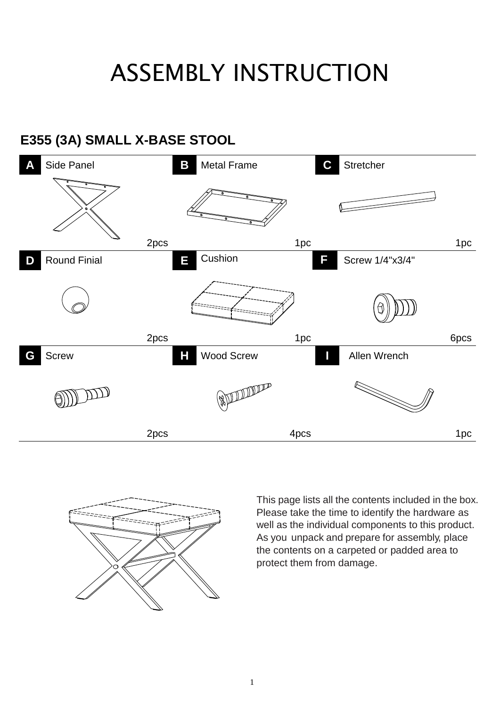## ASSEMBLY INSTRUCTION





This page lists all the contents included in the box. Please take the time to identify the hardware as well as the individual components to this product. As you unpack and prepare for assembly, place the contents on a carpeted or padded area to protect them from damage.